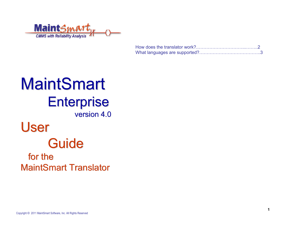

# MaintSmart **Enterprise** version 4.0 version 4.0User **Guide** for the MaintSmart Translator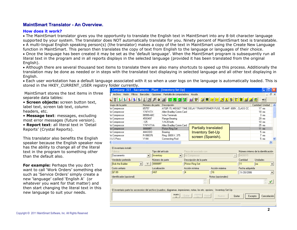## **MaintSmart Translator - An Overview. MaintSmart Translator - An Overview.**

#### **How does it work?**

• The MaintSmart translator gives you the opportunity to translate the English text in MaintSmart into any 8-bit character language supported by your system. The translator does NOT automatically translate for you. Ninety percent of MaintSmart text is translatable. • A multi-lingual English speaking person(s) (the translator) makes a copy of the text in MaintSmart using the Create New Language function in MaintSmart. This person then translates the copy of text from English to the language or languages of their choice.

• Once the language has been created it may be set as the 'default language'. When the MaintSmart program is subsequently run all literal text in the program and in all reports displays in the selected language (provided it has been translated from the original English).

• Although there are several thousand text items to translate there are also many shortcuts to speed up this process. Additionally the translation may be done as needed or in steps with the translated text displaying in selected language and all other text displaying in English.

• Each user workstation has a default language associated with it so when a user logs on the language is automatically loaded. This is stored in the HKEY\_CURRENT\_USER registry folder currently.

 MaintSmart stores the text items in threeseparate data tables:

• **Screen objects:** screen button text, label text, screen tab text, column headers, etc.

• **Message text**: messages, excluding most error messages (future version).

• **Report text**: all literal text in 'Detail Reports' (Crystal Reports).

This translator also benefits the English speaker because the English speaker now has the ability to change all of the literal text in the program to something other than the default also.

**For example:** Perhaps the you don't want to call 'Work Orders' something else such as 'Service Orders' simply create a new 'language' called 'English A' (or whatever you want for that matter) and then start changing the literal text in this new language to suit your needs.

| Company: 327 - Sacramento - Plant - [Inventory Set Up]                                                                                                                                                                  |                           |                                                              |                         |                          |   |                                                                                        |               |                                                                      |                             |                                                                  |                 |               |                          |  |
|-------------------------------------------------------------------------------------------------------------------------------------------------------------------------------------------------------------------------|---------------------------|--------------------------------------------------------------|-------------------------|--------------------------|---|----------------------------------------------------------------------------------------|---------------|----------------------------------------------------------------------|-----------------------------|------------------------------------------------------------------|-----------------|---------------|--------------------------|--|
| Archivo Visión Filtros Barcodes Opciones Pantalla-de-computadora Ayuda                                                                                                                                                  |                           |                                                              |                         |                          |   |                                                                                        |               |                                                                      |                             |                                                                  |                 |               | a x                      |  |
| 计划到到到到                                                                                                                                                                                                                  | 겨                         | $\frac{1}{2}$<br>4                                           | ᅫ                       |                          |   | TZAP MO                                                                                |               |                                                                      |                             |                                                                  |                 | $\equiv$ 0    |                          |  |
| rupo de la parte                                                                                                                                                                                                        | Número de parte           |                                                              | Descripción             |                          |   |                                                                                        |               |                                                                      |                             |                                                                  | Cantidad Unidad |               |                          |  |
| r Compressor                                                                                                                                                                                                            | 65757                     |                                                              |                         |                          |   |                                                                                        |               | ATOR 15, MIDGET TIME DELAY TRANSFORMER FUSE, 15 AMP. 600V., CLASS CC |                             |                                                                  |                 | $17$ ea       |                          |  |
| r Compressor                                                                                                                                                                                                            | 1747-KTX                  |                                                              | Allen Bradley Comm Card |                          |   |                                                                                        |               |                                                                      |                             |                                                                  |                 | $18$ ea       |                          |  |
| r Compressor                                                                                                                                                                                                            | 88990-ABC                 |                                                              | Wire Terminals          |                          |   |                                                                                        |               |                                                                      |                             |                                                                  |                 | $3$ ea        |                          |  |
| r Compressor                                                                                                                                                                                                            | 4593497                   |                                                              | Flange Bearing          |                          |   |                                                                                        |               |                                                                      |                             |                                                                  |                 | $29$ ea       |                          |  |
| r Compressor                                                                                                                                                                                                            | .125                      |                                                              | 1/4-20 bolts            |                          |   |                                                                                        |               |                                                                      |                             |                                                                  |                 | $10$ ea       |                          |  |
| r Compressor                                                                                                                                                                                                            | 1747-KTXA                 |                                                              | Allen Bradley Comm Card |                          |   |                                                                                        |               |                                                                      |                             |                                                                  |                 | $25$ ea       |                          |  |
| r Compressor                                                                                                                                                                                                            | 99999FF                   |                                                              | Piston Ring Set         |                          |   |                                                                                        |               | <b>Partially translated</b>                                          |                             |                                                                  |                 | $11$ ea       |                          |  |
| r Compressor                                                                                                                                                                                                            | 444-DDD                   |                                                              | Bearing                 |                          |   |                                                                                        |               | <b>Inventory Set-Up</b>                                              |                             |                                                                  |                 | $5$ ea        |                          |  |
| r Compressor                                                                                                                                                                                                            | R-998376                  |                                                              | Ring.0009X.375          |                          |   |                                                                                        |               | screen (Spanish).                                                    |                             |                                                                  |                 | $7$ ea        |                          |  |
| & S Press                                                                                                                                                                                                               | YY44                      |                                                              | Connecting Rod          |                          |   |                                                                                        |               |                                                                      |                             |                                                                  |                 | $5$ ea        |                          |  |
|                                                                                                                                                                                                                         | THE <sub>1</sub>          |                                                              |                         |                          |   |                                                                                        |               |                                                                      |                             |                                                                  |                 |               |                          |  |
| El inventario instaló<br>Fábrica<br>Sacramento<br>Vendedor preferido<br><b>Bob the Builder</b>                                                                                                                          | $\blacktriangledown$<br>٧ | Tipo del artículo<br>Inventory<br>Número de parte<br>99999FF |                         | $\overline{\phantom{a}}$ |   | Pieza del asociado con<br>Air Compressor<br>Descripción de la parte<br>Piston Ring Set |               |                                                                      | $\mathcal{L}_{\mathcal{P}}$ | Número interno de la identificación<br>9400015<br>Cantidad<br>11 | Unidades<br>lea |               | $\overline{\phantom{a}}$ |  |
| Costo unitario                                                                                                                                                                                                          |                           | Localización                                                 |                         |                          |   | Acción mínima                                                                          |               | Acción máxima                                                        |                             | Fecha adquirida                                                  |                 |               |                          |  |
| \$7.89                                                                                                                                                                                                                  |                           | <b>H<sub>6T</sub></b>                                        |                         |                          | 4 |                                                                                        |               | 16                                                                   |                             | 9 /20/2006                                                       |                 |               | $\blacktriangledown$     |  |
| Identificador (opcional)                                                                                                                                                                                                |                           |                                                              |                         |                          |   |                                                                                        |               | Notas (opcionales)                                                   |                             |                                                                  |                 |               |                          |  |
|                                                                                                                                                                                                                         |                           |                                                              |                         |                          |   |                                                                                        | $\frac{R}{M}$ |                                                                      |                             |                                                                  |                 | $\frac{R}{M}$ |                          |  |
| El inventario parte los accesorios del archivo (cuadros, diagramas, impresiones, notas, los etc. opciona⊢ Inventory Set Up<br><b>Nuev</b><br>Visión <sup>1</sup><br>Quitar<br>Quitar<br>Excepto<br>Cancelación<br>Nuevo |                           |                                                              |                         |                          |   |                                                                                        |               |                                                                      |                             |                                                                  |                 |               |                          |  |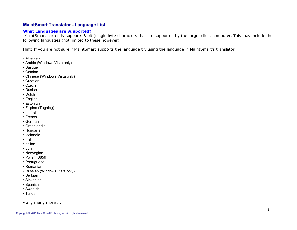# **MaintSmart Translator - Language List MaintSmart Translator - Language List**

## **What Languages are Supported?**

 MaintSmart currently supports 8-bit (single byte characters that are supported by the target client computer. This may include the following languages (not limited to these however).

Hint: If you are not sure if MaintSmart supports the language try using the language in MaintSmart's translator!

- Albanian
- Arabic (Windows Vista only)
- Basque
- Catalan
- Chinese (Windows Vista only)
- Croatian
- Czech
- Danish
- Dutch
- English
- Estonian
- Filipino (Tagalog)
- Finnish
- French
- German
- Greenlandic
- Hungarian
- Icelandic
- Irish
- Italian
- Latin
- Norwegian
- Polish (8859)
- Portuguese
- Romanian
- Russian (Windows Vista only)
- Serbian
- Slovenian
- Spanish
- Swedish
- Turkish
- any many more ...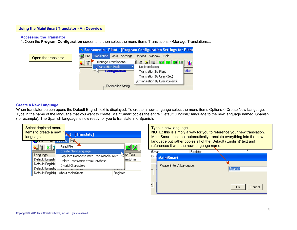#### **Accessing the Translator**

1. Open the **Program Configuration** screen and then select the menu items Translations>>Manage Translations...



### **Create a New Language**

When translator screen opens the Default English text is displayed. To create a new language select the menu items Options>>Create New Language. Type in the name of the language that you want to create. MaintSmart copies the entire 'Default (English)' language to the new language named 'Spanish' (for example). The Spanish language is now ready for you to translate into Spanish.

,



Type in new language. **NOTE:** this is simply a way for you to reference your new translation. MaintSmart does not automatically translate everything into the new language but rather copies all of the 'Default (English)' text and references it with the new language name.itSmart Register <sup>tSm</sup>MaintSmart Please Enter A Language. Spanish

0K

Cancel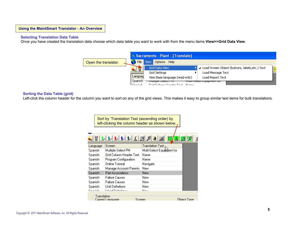#### **Selecting Translation Data Table**

Once you have created the translation data choose which data table you want to work with from the menu items **View>>Grid Data View**.



#### **Sorting the Data Table (grid)**

Left-click the column header for the column you want to sort on any of the grid views. This makes it easy to group similar text items for bulk translations.

|          | Sort by 'Translation Text (ascending order) by<br>left-clicking the column header as shown below. |                              |                            |              |  |  |  |
|----------|---------------------------------------------------------------------------------------------------|------------------------------|----------------------------|--------------|--|--|--|
|          |                                                                                                   |                              |                            |              |  |  |  |
|          |                                                                                                   | 封制制制                         |                            |              |  |  |  |
| Language |                                                                                                   | Screen                       | Translation Text           |              |  |  |  |
| Spanish  |                                                                                                   | Multiple Select PM           | Multi-Select Equip@ent for |              |  |  |  |
| Spanish  |                                                                                                   | Grid Column Header Text      | Name                       |              |  |  |  |
| Spanish  |                                                                                                   | Program Configuration        | Name                       |              |  |  |  |
| Spanish  |                                                                                                   | Online Tutorial              | Navigate                   |              |  |  |  |
| Spanish  |                                                                                                   | Manage Account Parents       | New                        |              |  |  |  |
| Spanish  |                                                                                                   | Part Associations            | New                        |              |  |  |  |
| Spanish  |                                                                                                   | Failure Causes               | New                        |              |  |  |  |
| Spanish  |                                                                                                   | Failure Causes               | New.                       |              |  |  |  |
| Spanish  |                                                                                                   | Unit Definitions             | New.                       |              |  |  |  |
| Constale |                                                                                                   | Volume Die Gestellung        | $k1 = 11$                  |              |  |  |  |
|          | Translation                                                                                       | Current Language:<br>Screen: |                            | Object Tune: |  |  |  |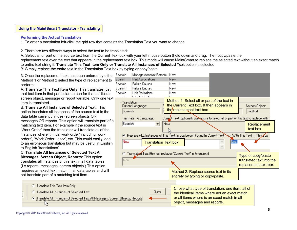### **Performing the Actual Translation**

1. To enter a translation left-click the grid row that contains the Translation Text you want to change.

2. There are two different ways to select the text to be translated:

A. Select all or part of the source text from the Current Text box with your left mouse button (hold down and drag. Then copy/paste the

replacement text over the text that appears in the replacement text box. This mode will cause MaintSmart to replace the selected text without an exact match to entire text string if: **Translate This Text Item Only or Translate All Instances of Selected Text** option is selected.

B. Simply replace the entire text in the Translation Text box by typing or copy/paste.

3. Once the replacement text has been entered by either Spanish Method 1 or Method 2 select the type of replacement to perform:

A. **Translate This Text Item Only**: This translates just that text item in that particular screen for that particular screen object, message or report variable. Only one text item is translated.

B. **Translate All Instances of Selected Text:** Thisoption translates all instances of the source text in the data table currently in use (screen objects OR messages OR reports. This option will translate part of a matching text item. For example if the source text is 'Work Order' then the translator will translate all of theinstances where it finds 'work order' including 'work orders', 'Work Order Labor', etc. This could easily lead to an erroneous translation but may be useful in English to English 'translations'.

C. **Translate All Instances of Selected Text AllMessages, Screen Object, Reports**: This option translates all instances of this text in all data tables (i.e.reports, messages, screen objects.) This option requires an exact text match in all data tables and will not translate part of a matching text item.



- Translate All Instances of Selected Text
- (C) [Translate All Instances of Selected Text All Messages, Screen Objects, Reports



the identical items where not an exact matchor all items where is an exact match in allobject, messages and reports.

ん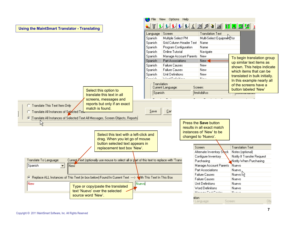|                                                                                                                        | File View Options Help              |                                         |                               |
|------------------------------------------------------------------------------------------------------------------------|-------------------------------------|-----------------------------------------|-------------------------------|
| <b>Using the MaintSmart Translator - Translating</b>                                                                   |                                     | <u>Libriderach ein Bistriche</u>        |                               |
|                                                                                                                        | Screen<br>Language                  | <b>Translation Text</b>                 |                               |
|                                                                                                                        | Multiple Select PM<br>Spanish       | Multi-Select Equipment for              |                               |
|                                                                                                                        | Spanish                             | <b>Grid Column Header Text</b><br>Name  |                               |
|                                                                                                                        | Program Configuration<br>Spanish    | Name                                    |                               |
|                                                                                                                        | <b>Online Tutorial</b><br>Spanish   | Navigate                                |                               |
|                                                                                                                        | Spanish                             | Manage Account Parents<br>New           | To begin translation group    |
|                                                                                                                        | Part Associations<br>Spanish        | New <                                   | up similar text items as      |
|                                                                                                                        | <b>Failure Causes</b><br>Spanish    | New                                     | shown. This helps indicate    |
|                                                                                                                        | <b>Failure Causes</b><br>Spanish    | New                                     | which items that can be       |
|                                                                                                                        | Unit Definitions<br>Spanish         | New                                     | translated in bulk initially. |
|                                                                                                                        | Constitute<br>Version in Leadership | $M = 11$                                | In this example nearly all    |
|                                                                                                                        | · Translation·                      |                                         | of the screens have a         |
| Select this option to                                                                                                  | Current Language:                   | Screen:                                 | button labeled 'New'          |
| translate this text in all                                                                                             | Spanish                             | frmAddAss                               |                               |
| screens, messages and                                                                                                  |                                     |                                         |                               |
| reports but only if an exact                                                                                           |                                     |                                         |                               |
| C Translate This Text Item Only<br>match is found.                                                                     |                                     |                                         |                               |
| Translate All Instances of Selected Text                                                                               | $S$ ave<br>$\mathsf{Car}$           |                                         |                               |
| (FilTranslate All Instances of Selected Text All Messages, Screen Objects, Reports                                     |                                     |                                         |                               |
| 仪                                                                                                                      |                                     | Press the Save button                   |                               |
|                                                                                                                        |                                     | results in all exact match              |                               |
|                                                                                                                        |                                     | instances of 'New' to be                |                               |
| Select this text with a left-click and                                                                                 |                                     | changed to 'Nuevo'.                     |                               |
| drag. When you let go of mouse                                                                                         |                                     |                                         |                               |
| button selected text appears in                                                                                        |                                     |                                         |                               |
| replacement text box 'New'.                                                                                            |                                     | Screen                                  | <b>Translation Text</b>       |
|                                                                                                                        |                                     | Alternate Inventory Stock               | Notes (optional)              |
| Current Text (optionally use mouse to select all or part of this text to replace with 'Trans<br>Translate To Language: |                                     | Configure Inventory                     | Notify If Transfer Request    |
|                                                                                                                        |                                     | Purchasing                              | Notify When Purchasing        |
| Spanish<br>$\blacktriangledown$<br>∥New                                                                                |                                     | Manage Account Parents                  | Nuevo                         |
|                                                                                                                        |                                     | Part Associations                       | Nuevo                         |
| © Replace ALL Instances of This Text (in box below) Found In Current Text ---> Vith This Text In This Box              |                                     | <b>Failure Causes</b>                   | Nuevo kr                      |
|                                                                                                                        |                                     | <b>Failure Causes</b>                   | Nuevo                         |
| <b>New</b><br>Nuevo<br>Type or copy/paste the translated                                                               |                                     | Unit Definitions                        | Nuevo                         |
| text 'Nuevo' over the selected                                                                                         |                                     | Word Definitions<br>Manager Cast Cantos | Nuevo<br>k1                   |
| source word 'New'.                                                                                                     |                                     |                                         |                               |
|                                                                                                                        |                                     | ation:                                  | ОЫ                            |
|                                                                                                                        |                                     | Screen:<br>t Language:                  |                               |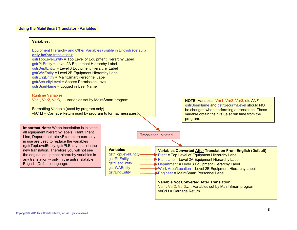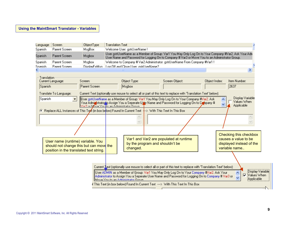## **Using the MaintSmart Translator - Variables**

| Language | Screen        | ObjectType     | <b>Translation Text</b>                                                                                                                                                                                |  |  |  |
|----------|---------------|----------------|--------------------------------------------------------------------------------------------------------------------------------------------------------------------------------------------------------|--|--|--|
| Spanish  | Parent Screen | MsgBox         | Welcome User: gstrUserName !                                                                                                                                                                           |  |  |  |
| Spanish  | Parent Screen | Msgbox         | User gstrUserName as a Member of Group: Var1 You May Only Log On to Your Company #Var2. Ask Your Adn<br>User Name and Password for Logging On to Company # Var3 or Move You to an Administrator Group. |  |  |  |
| Spanish  | Parent Screen | Msabox         | Welcome to Company # Var2 Administrator: gstrUserName From Company #Var1 !                                                                                                                             |  |  |  |
| Snanish  | Parent Screen | DisplauErrMsol | Log Off and Close User, gstrUserName?                                                                                                                                                                  |  |  |  |
|          |               |                |                                                                                                                                                                                                        |  |  |  |